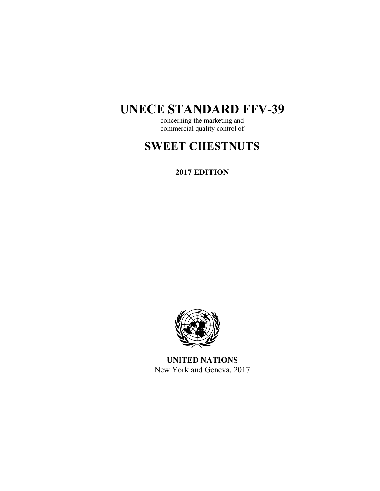# **UNECE STANDARD FFV-39**

concerning the marketing and commercial quality control of

# **SWEET CHESTNUTS**

## **2017 EDITION**



**UNITED NATIONS**  New York and Geneva, 2017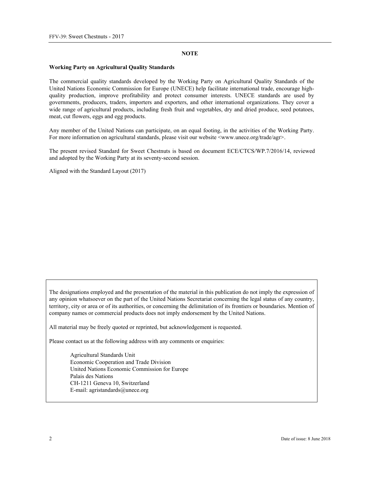#### **NOTE**

#### **Working Party on Agricultural Quality Standards**

The commercial quality standards developed by the Working Party on Agricultural Quality Standards of the United Nations Economic Commission for Europe (UNECE) help facilitate international trade, encourage highquality production, improve profitability and protect consumer interests. UNECE standards are used by governments, producers, traders, importers and exporters, and other international organizations. They cover a wide range of agricultural products, including fresh fruit and vegetables, dry and dried produce, seed potatoes, meat, cut flowers, eggs and egg products.

Any member of the United Nations can participate, on an equal footing, in the activities of the Working Party. For more information on agricultural standards, please visit our website <www.unece.org/trade/agr>.

The present revised Standard for Sweet Chestnuts is based on document ECE/CTCS/WP.7/2016/14, reviewed and adopted by the Working Party at its seventy-second session.

Aligned with the Standard Layout (2017)

The designations employed and the presentation of the material in this publication do not imply the expression of any opinion whatsoever on the part of the United Nations Secretariat concerning the legal status of any country, territory, city or area or of its authorities, or concerning the delimitation of its frontiers or boundaries. Mention of company names or commercial products does not imply endorsement by the United Nations.

All material may be freely quoted or reprinted, but acknowledgement is requested.

Please contact us at the following address with any comments or enquiries:

Agricultural Standards Unit Economic Cooperation and Trade Division United Nations Economic Commission for Europe Palais des Nations CH-1211 Geneva 10, Switzerland E-mail: agristandards@unece.org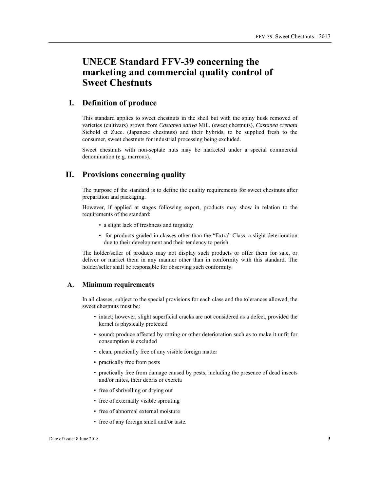# **UNECE Standard FFV-39 concerning the marketing and commercial quality control of Sweet Chestnuts**

## **I. Definition of produce**

This standard applies to sweet chestnuts in the shell but with the spiny husk removed of varieties (cultivars) grown from *Castanea sativa* Mill. (sweet chestnuts), *Castanea crenata* Siebold et Zucc. (Japanese chestnuts) and their hybrids, to be supplied fresh to the consumer, sweet chestnuts for industrial processing being excluded.

Sweet chestnuts with non-septate nuts may be marketed under a special commercial denomination (e.g. marrons).

## **II. Provisions concerning quality**

The purpose of the standard is to define the quality requirements for sweet chestnuts after preparation and packaging.

However, if applied at stages following export, products may show in relation to the requirements of the standard:

- a slight lack of freshness and turgidity
- for products graded in classes other than the "Extra" Class, a slight deterioration due to their development and their tendency to perish.

The holder/seller of products may not display such products or offer them for sale, or deliver or market them in any manner other than in conformity with this standard. The holder/seller shall be responsible for observing such conformity.

#### **A. Minimum requirements**

In all classes, subject to the special provisions for each class and the tolerances allowed, the sweet chestnuts must be:

- intact; however, slight superficial cracks are not considered as a defect, provided the kernel is physically protected
- sound; produce affected by rotting or other deterioration such as to make it unfit for consumption is excluded
- clean, practically free of any visible foreign matter
- practically free from pests
- practically free from damage caused by pests, including the presence of dead insects and/or mites, their debris or excreta
- free of shrivelling or drying out
- free of externally visible sprouting
- free of abnormal external moisture
- free of any foreign smell and/or taste.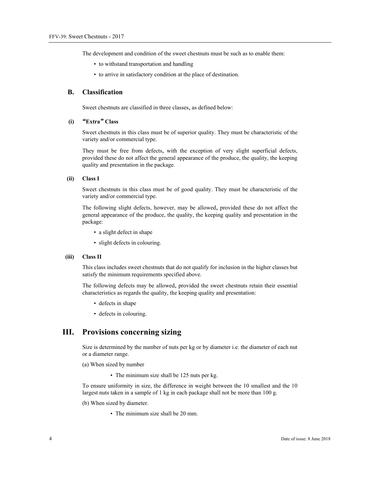The development and condition of the sweet chestnuts must be such as to enable them:

- to withstand transportation and handling
- to arrive in satisfactory condition at the place of destination.

## **B. Classification**

Sweet chestnuts are classified in three classes, as defined below:

### **(i)** *"***Extra***"* **Class**

Sweet chestnuts in this class must be of superior quality. They must be characteristic of the variety and/or commercial type.

They must be free from defects, with the exception of very slight superficial defects, provided these do not affect the general appearance of the produce, the quality, the keeping quality and presentation in the package.

#### **(ii) Class I**

Sweet chestnuts in this class must be of good quality. They must be characteristic of the variety and/or commercial type.

The following slight defects, however, may be allowed, provided these do not affect the general appearance of the produce, the quality, the keeping quality and presentation in the package:

- a slight defect in shape
- slight defects in colouring.

#### **(iii) Class II**

This class includes sweet chestnuts that do not qualify for inclusion in the higher classes but satisfy the minimum requirements specified above.

The following defects may be allowed, provided the sweet chestnuts retain their essential characteristics as regards the quality, the keeping quality and presentation:

- defects in shape
- defects in colouring.

## **III. Provisions concerning sizing**

Size is determined by the number of nuts per kg or by diameter i.e. the diameter of each nut or a diameter range.

- (a) When sized by number
	- The minimum size shall be 125 nuts per kg.

To ensure uniformity in size, the difference in weight between the 10 smallest and the 10 largest nuts taken in a sample of 1 kg in each package shall not be more than 100 g.

- (b) When sized by diameter.
	- The minimum size shall be 20 mm.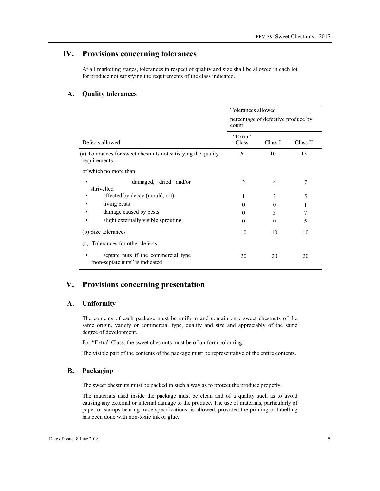## **IV. Provisions concerning tolerances**

At all marketing stages, tolerances in respect of quality and size shall be allowed in each lot for produce not satisfying the requirements of the class indicated.

## **A. Quality tolerances**

|                                                                               | Tolerances allowed<br>percentage of defective produce by<br>count |                |          |
|-------------------------------------------------------------------------------|-------------------------------------------------------------------|----------------|----------|
|                                                                               |                                                                   |                |          |
| Defects allowed                                                               | "Extra"<br>Class                                                  | Class I        | Class II |
| (a) Tolerances for sweet chestnuts not satisfying the quality<br>requirements | 6                                                                 | 10             | 15       |
| of which no more than                                                         |                                                                   |                |          |
| damaged, dried and/or<br>shrivelled                                           | $\mathcal{D}_{\mathcal{L}}$                                       | $\overline{4}$ |          |
| affected by decay (mould, rot)                                                | 1                                                                 | 3              | 5        |
| living pests                                                                  | $\Omega$                                                          | $\Omega$       |          |
| damage caused by pests                                                        | $\theta$                                                          | 3              |          |
| slight externally visible sprouting                                           | $\Omega$                                                          | $\theta$       | 5        |
| (b) Size tolerances                                                           | 10                                                                | 10             | 10       |
| Tolerances for other defects<br>(c)                                           |                                                                   |                |          |
| septate nuts if the commercial type<br>"non-septate nuts" is indicated        | 20                                                                | 20             | 20       |

## **V. Provisions concerning presentation**

## **A. Uniformity**

The contents of each package must be uniform and contain only sweet chestnuts of the same origin, variety or commercial type, quality and size and appreciably of the same degree of development.

For "Extra" Class, the sweet chestnuts must be of uniform colouring.

The visible part of the contents of the package must be representative of the entire contents.

## **B. Packaging**

The sweet chestnuts must be packed in such a way as to protect the produce properly.

The materials used inside the package must be clean and of a quality such as to avoid causing any external or internal damage to the produce. The use of materials, particularly of paper or stamps bearing trade specifications, is allowed, provided the printing or labelling has been done with non-toxic ink or glue.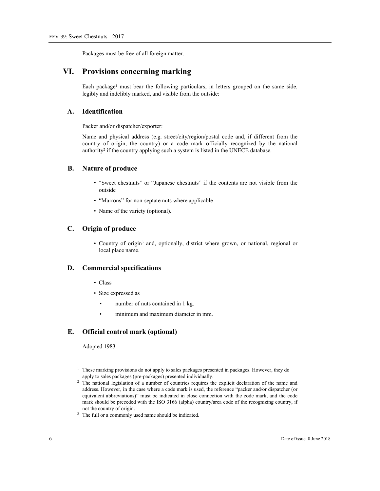Packages must be free of all foreign matter.

## **VI. Provisions concerning marking**

Each package<sup>1</sup> must bear the following particulars, in letters grouped on the same side, legibly and indelibly marked, and visible from the outside:

## **A. Identification**

Packer and/or dispatcher/exporter:

Name and physical address (e.g. street/city/region/postal code and, if different from the country of origin, the country) or a code mark officially recognized by the national authority<sup>2</sup> if the country applying such a system is listed in the UNECE database.

## **B. Nature of produce**

- "Sweet chestnuts" or "Japanese chestnuts" if the contents are not visible from the outside
- "Marrons" for non-septate nuts where applicable
- Name of the variety (optional).

## **C. Origin of produce**

• Country of origin<sup>3</sup> and, optionally, district where grown, or national, regional or local place name.

### **D. Commercial specifications**

- Class
- Size expressed as
	- number of nuts contained in 1 kg.
	- minimum and maximum diameter in mm.

## **E. Official control mark (optional)**

Adopted 1983

 $\overline{a}$ 

<sup>&</sup>lt;sup>1</sup> These marking provisions do not apply to sales packages presented in packages. However, they do

apply to sales packages (pre-packages) presented individually. 2 The national legislation of a number of countries requires the explicit declaration of the name and address. However, in the case where a code mark is used, the reference "packer and/or dispatcher (or equivalent abbreviations)" must be indicated in close connection with the code mark, and the code mark should be preceded with the ISO 3166 (alpha) country/area code of the recognizing country, if not the country of origin.<br><sup>3</sup> The full or a commonly used name should be indicated.